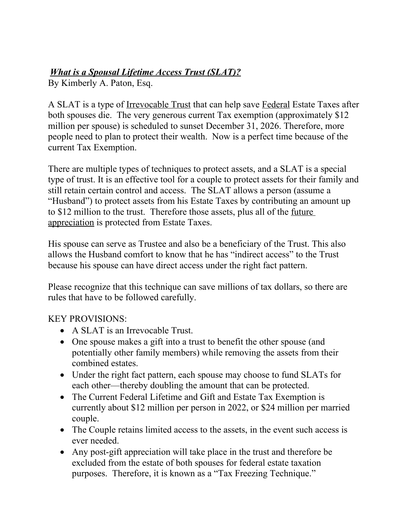## *What is a Spousal Lifetime Access Trust (SLAT)?*

By Kimberly A. Paton, Esq.

A SLAT is a type of Irrevocable Trust that can help save Federal Estate Taxes after both spouses die. The very generous current Tax exemption (approximately \$12 million per spouse) is scheduled to sunset December 31, 2026. Therefore, more people need to plan to protect their wealth. Now is a perfect time because of the current Tax Exemption.

There are multiple types of techniques to protect assets, and a SLAT is a special type of trust. It is an effective tool for a couple to protect assets for their family and still retain certain control and access. The SLAT allows a person (assume a "Husband") to protect assets from his Estate Taxes by contributing an amount up to \$12 million to the trust. Therefore those assets, plus all of the future appreciation is protected from Estate Taxes.

His spouse can serve as Trustee and also be a beneficiary of the Trust. This also allows the Husband comfort to know that he has "indirect access" to the Trust because his spouse can have direct access under the right fact pattern.

Please recognize that this technique can save millions of tax dollars, so there are rules that have to be followed carefully.

## KEY PROVISIONS:

- A SLAT is an Irrevocable Trust.
- One spouse makes a gift into a trust to benefit the other spouse (and potentially other family members) while removing the assets from their combined estates.
- Under the right fact pattern, each spouse may choose to fund SLATs for each other—thereby doubling the amount that can be protected.
- The Current Federal Lifetime and Gift and Estate Tax Exemption is currently about \$12 million per person in 2022, or \$24 million per married couple.
- The Couple retains limited access to the assets, in the event such access is ever needed.
- Any post-gift appreciation will take place in the trust and therefore be excluded from the estate of both spouses for federal estate taxation purposes. Therefore, it is known as a "Tax Freezing Technique."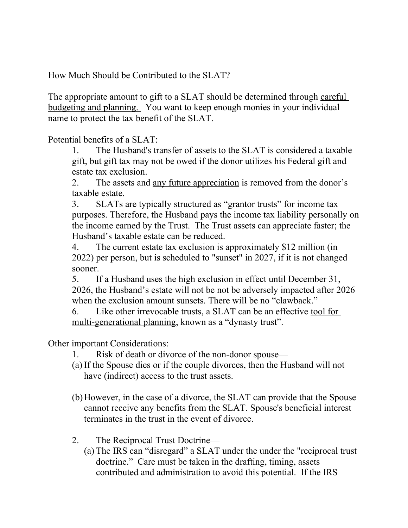How Much Should be Contributed to the SLAT?

The appropriate amount to gift to a SLAT should be determined through careful budgeting and planning. You want to keep enough monies in your individual name to protect the tax benefit of the SLAT.

Potential benefits of a SLAT:

1. The Husband's transfer of assets to the SLAT is considered a taxable gift, but gift tax may not be owed if the donor utilizes his Federal gift and estate tax exclusion.

2. The assets and <u>any future appreciation</u> is removed from the donor's taxable estate.

3. SLATs are typically structured as "grantor trusts" for income tax purposes. Therefore, the Husband pays the income tax liability personally on the income earned by the Trust. The Trust assets can appreciate faster; the Husband's taxable estate can be reduced.

4. The current estate tax exclusion is approximately \$12 million (in 2022) per person, but is scheduled to "sunset" in 2027, if it is not changed sooner.

5. If a Husband uses the high exclusion in effect until December 31, 2026, the Husband's estate will not be not be adversely impacted after 2026 when the exclusion amount sunsets. There will be no "clawback."

6. Like other irrevocable trusts, a SLAT can be an effective tool for multi-generational planning, known as a "dynasty trust".

Other important Considerations:

- 1. Risk of death or divorce of the non-donor spouse—
- (a) If the Spouse dies or if the couple divorces, then the Husband will not have (indirect) access to the trust assets.
- (b)However, in the case of a divorce, the SLAT can provide that the Spouse cannot receive any benefits from the SLAT. Spouse's beneficial interest terminates in the trust in the event of divorce.
- 2. The Reciprocal Trust Doctrine—
	- (a) The IRS can "disregard" a SLAT under the under the "reciprocal trust doctrine." Care must be taken in the drafting, timing, assets contributed and administration to avoid this potential. If the IRS